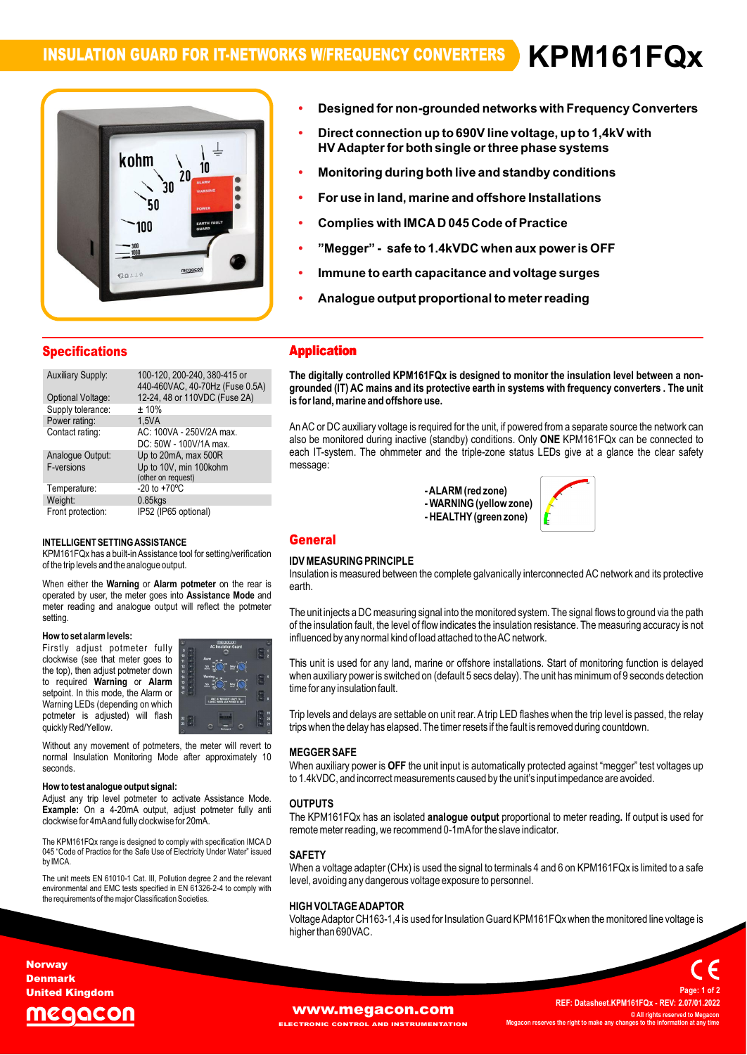# **INSULATION GUARD FOR IT-NETWORKS W/FREQUENCY CONVERTERS KPM161FQx**

**ï**

**Designed**

# kohm 10  $20.$ `າ0 50 100 00:14

- Designed for non-grounded networks with Frequency Converters<br>Direct connection up to 690V line voltage, up to 1.4kV with **ïDesigned for in**
- **ïDesigned for hon-grounded networks with Frequency Cont<br>Direct connection up to 690V line voltage, up to 1,4kV with<br>HV Adapter for both single or three phase systems HV** Adapter for both single or three phase systems
- **Monitoring during both live and standby conditions<br>For use in land, marine and offshore Installations ï**
- **ïComplies with IMCAD <sup>045</sup> Code of Practice**
- **Complies ï**
- **- safe to 1.4kVDC when aux poweris OFF Immune to earth capacitance and voltage surges**
- **Analogue output proportional to meterreading ï**
- Analogue output proportional to meter reading

| <b>Specifications</b>          |                                                                      |
|--------------------------------|----------------------------------------------------------------------|
| <b>Auxiliary Supply:</b>       | 100-120, 200-240, 380-415 or<br>440-460VAC, 40-70Hz (Fuse 0.5A)      |
| Optional Voltage:              | 12-24, 48 or 110VDC (Fuse 2A)                                        |
| Supply tolerance:              | ±10%                                                                 |
| Power rating:                  | 1.5VA                                                                |
| Contact rating:                | AC: 100VA - 250V/2A max.<br>DC: 50W - 100V/1A max.                   |
| Analogue Output:<br>F-versions | Up to 20mA, max 500R<br>Up to 10V, min 100kohm<br>(other on request) |
| Temperature:                   | $-20$ to $+70^{\circ}$ C                                             |
| Weight:                        | $0.85$ kgs                                                           |
| Front protection:              | IP52 (IP65 optional)                                                 |

### INTELLIGENT SETTING ASSISTANCE

of the trip levels and the analogue output. **Alarm potmeter** on the INTELLIGENT SETTING ASSISTANCE<br>KPM161FQx has a built-in Assistance tool for setting/verification<br>of the trip levels and the analogue output. יכוז ו-of the trip levels and the analogue output.<br>Ins<br>גרם When either the Warning or Alarm potmeter on the rear is

the rear is<br>**Mode** and Insu<br>When either the **Warning** or **Alarm potmeter** on the rear is<br>operated by user, the meter goes into Assistance Mode and operated by user, the meter goes into **Assistance Mode** and meter reading and analogue output will reflect the potmeter setting setting.<br>**How to set alarm levels:** 

### now to se

**EXECUTE:** THE RESIDENT RESIDENCE CONSIDERS A MODEL OF A MODEL OF A MODEL OF A MODEL OF A MODEL OF A MODEL OF A<br>The top), then adjust potmeter down red Warning or **Alarm**<br> **Alarm Alarm Alarm Alarm Alarm Alarm Alarm Alarm 1999** e<mark>talarm levels:</mark><br>adjust potmeter fully **How to set alarm levels:**<br>Firstly adjust potmeter fully **seems**<br>clockwise (see that meter goes to  $\stackrel{m}{\text{ii}}$  . required variables that meter goes to<br>the top), then adjust potmeter down<br>to required **Warning** or **Alarm**<br>setpoint. In this mode, the Alarm or<br>Warning LEDs (depending on which vvarning LEDS (dependin<br>potmeter is adjusted)<br>quickly Red/Yellow. to required Warning or Alarm setpoint. In this mode, the Alarm or selpoint. In this mode, the Alamn of<br>Warning LEDs (depending on which<br>potmeter is adjusted) will flash will



quickly Red/Yellow.<br>
Without any movement of potmeters, the meter will revert to<br>
normal Insulation Monitoring Mode after approximately 10 seconds

clockwise for 4mA and fully clockwise for 20mA. **the weater of the stanalogue output signal:** Adjust any trip level potmeter to activate Assistance Mode. **How to test analogue output signal:**<br>Adjust any trip level potmeter to activate Assistance Mode.<br>**Example:** On a 4-20mA output, adjust potmeter fully anti y trip lever potmeter to activate A<br>On a 4-20mA output, adjust po<br>for 4mAand fully clockwise for 20mA.

remc<br>The KPM161FQx range is designed to comply with specification IMCA D<br>045 "Code of Practice for the Safe Use of Electricity Under Water" issued<br>by IMCA.

unit meets EN 61010-1 Cat. III, Pollution degree 2 and the relevant<br>The unit meets EN 61010-1 Cat. III, Pollution degree 2 and the relevant<br>hervironmental and EMC tests specified in EN 61326-2-4 to comply with environmental and EMC tests specified in EN 61326-2-4 to comply with the requirements of the major Classification Societies.

## **Application Application The**

 **digitally controlled KPM161FQx is designed to monitor the insulation levelbetween <sup>a</sup> non- groundedis (IT) AC mains and its protective earth in systems with frequency converters . The unit formally controlled APM forPx is to**<br>ounded (IT) AC mains and its protective<br>for land. marine and offshore use. is for land, marine and offshore use.

is for land, marine and offshore use.<br>An AC or DC auxiliary voltage is required for the unit, if powered from a separate source the network can<br>also be monitored during inactive (standby) conditions. Only **ONE** KPM161FQx c **ONE**ArrAC or DC auxiliary voltage is required for the drift, if powered from a separate source the network can<br>also be monitored during inactive (standby) conditions. Only **ONE** KPM161FQx can be connected to<br>each IT-system. Th message:

zone<br>.. **)**  $\mathbf{v}$ -ALARIN (Fea



### **IDEASURING PRINCIPLE**

### $\sum_{i=1}^{n}$ ida in

Insulation is measured between the complete galvanically interconnected AC network and its protective earth.

eartn.<br>The unit injects a DC measuring signal into the monitored system. The signal flows to ground via the path<br>of the insulation fault. the level of flow indicates the insulation resistance. The measuring accuracv is not of the insulation fault, the level of flow indicates the insulation resistance. The measuring accuracy is not<br>influenced by any normal kind of load attached to the AC network.

minuenced by any normal kind or load attached to trie AC network.<br>This unit is used for any land, marine or offshore installations. Start of monitoring function is delayed<br>when auxiliary power is switched on (default 5 sec when auxiliary power is switched on (default 5 secs delay). The unit has minimum of 9 seconds detection<br>time for any insulation fault.

trips when the delay has elapsed. The timer resets if the fault is removed during countdown. ume ior any insuiation rauit.<br>Trip levels and delays are settable on unit rear. A trip LED flashes when the trip level is passed, the relay<br>trips when the delay has elapsed. The timer resets if the fault is removed during

### $H = 2$ ivi<br>'

**ER SAFE**<br>auxiliary power is **OFF** the unit input is automatically protected against "megger" test voltages up to 1.4kVDC, and incorrect measurements caused by the unit's input impedance are avoided. EGGER SAFE<br>hen auxiliary power is **OFF** the unit input is automatically protected against "megger" test volta<br>1.4kVDC. and incorrect measurements caused by the unit's input impedance are avoided.

### **OUTPUTS**

**OUTPUTS**<br>The KPM161FQx has an isolated **analogue output** proportional to meter reading. If output is used for<br>remote meter reading, we recommend 0-1mAfor the slave indicator.

### $\ddotsc$ JAFI<br>'''

level, avoiding any dangerous voltage exposure to personnel. <sup>a</sup> voltage adapter (CHx) is used the signal to terminals <sup>4</sup> and <sup>6</sup> on KPM161FQx is limited to <sup>a</sup> safe avoiding any dangerous voltage exposure to personnel.

### $\frac{1}{2}$ nigh<br>Wi

E**ADAPTOR**<br>CH163-1,4 is used for Insulation Guard KPM161FQx when the monitored line voltage is rocTAGE ADAP T<br>e Adaptor CH163-1<br>than 690VAC.



**Page:**

**Denmark United Kingdom**

**Norway**

# eaacor

# **[www.megacon.com](http://www.megacon.com)**<br> **ECTRONIC CONTROL AND INSTRUMENTATION**

**ELECTRONIC CONTROL AND INSTRUMENTATION**